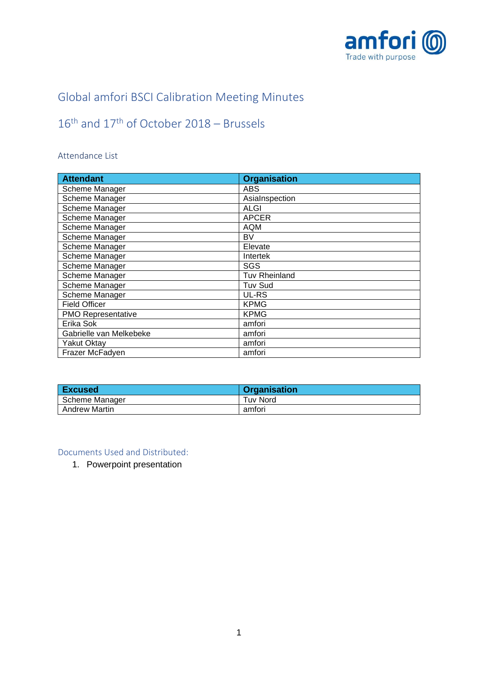

## Global amfori BSCI Calibration Meeting Minutes

# $16<sup>th</sup>$  and  $17<sup>th</sup>$  of October 2018 – Brussels

## Attendance List

| <b>Attendant</b>          | <b>Organisation</b>  |
|---------------------------|----------------------|
| Scheme Manager            | ABS                  |
| Scheme Manager            | AsiaInspection       |
| Scheme Manager            | <b>ALGI</b>          |
| Scheme Manager            | <b>APCER</b>         |
| Scheme Manager            | <b>AQM</b>           |
| Scheme Manager            | BV                   |
| Scheme Manager            | Elevate              |
| Scheme Manager            | Intertek             |
| Scheme Manager            | SGS                  |
| Scheme Manager            | <b>Tuv Rheinland</b> |
| Scheme Manager            | <b>Tuv Sud</b>       |
| Scheme Manager            | UL-RS                |
| <b>Field Officer</b>      | <b>KPMG</b>          |
| <b>PMO Representative</b> | <b>KPMG</b>          |
| Erika Sok                 | amfori               |
| Gabrielle van Melkebeke   | amfori               |
| <b>Yakut Oktay</b>        | amfori               |
| Frazer McFadyen           | amfori               |

| <b>Excused</b>       | <b>Organisation</b> |
|----------------------|---------------------|
| Scheme Manager       | Tuv Nord            |
| <b>Andrew Martin</b> | amfori              |

Documents Used and Distributed:

1. Powerpoint presentation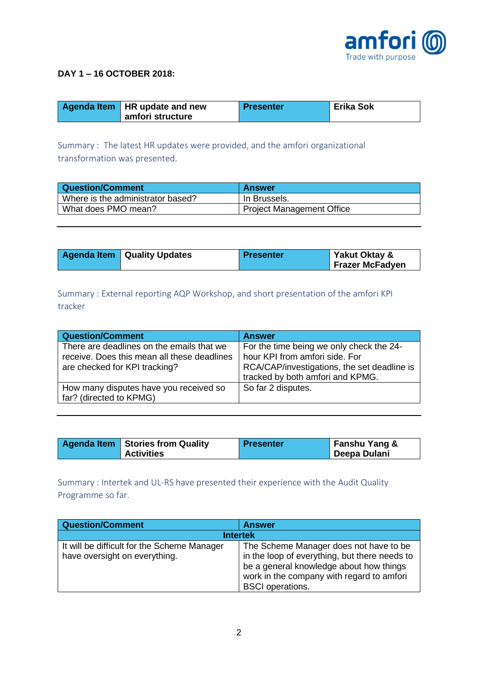

#### **DAY 1 – 16 OCTOBER 2018:**

| Agenda Item   HR update and new | <b>Presenter</b> | <b>Erika Sok</b> |
|---------------------------------|------------------|------------------|
| amfori structure                |                  |                  |

Summary : The latest HR updates were provided, and the amfori organizational transformation was presented.

| Question/Comment                  | <b>Answer</b>                    |
|-----------------------------------|----------------------------------|
| Where is the administrator based? | In Brussels.                     |
| What does PMO mean?               | <b>Project Management Office</b> |

|  | <b>Agenda Item   Quality Updates</b> | Presenter | Yakut Oktay &<br><b>Frazer McFadyen</b> |
|--|--------------------------------------|-----------|-----------------------------------------|
|--|--------------------------------------|-----------|-----------------------------------------|

Summary : External reporting AQP Workshop, and short presentation of the amfori KPI tracker

| <b>Question/Comment</b>                                                                                                   | <b>Answer</b>                                                                                                                                                 |
|---------------------------------------------------------------------------------------------------------------------------|---------------------------------------------------------------------------------------------------------------------------------------------------------------|
| There are deadlines on the emails that we<br>receive. Does this mean all these deadlines<br>are checked for KPI tracking? | For the time being we only check the 24-<br>hour KPI from amfori side. For<br>RCA/CAP/investigations, the set deadline is<br>tracked by both amfori and KPMG. |
| How many disputes have you received so<br>far? (directed to KPMG)                                                         | So far 2 disputes.                                                                                                                                            |

| <b>Agenda Item   Stories from Quality</b> | <b>Presenter</b> | <b>Fanshu Yang &amp;</b> |
|-------------------------------------------|------------------|--------------------------|
| <b>Activities</b>                         |                  | Deepa Dulani             |

Summary : Intertek and UL-RS have presented their experience with the Audit Quality Programme so far.

| <b>Question/Comment</b>                                                      | <b>Answer</b>                                                                                                                                                                                              |  |  |
|------------------------------------------------------------------------------|------------------------------------------------------------------------------------------------------------------------------------------------------------------------------------------------------------|--|--|
| <b>Intertek</b>                                                              |                                                                                                                                                                                                            |  |  |
| It will be difficult for the Scheme Manager<br>have oversight on everything. | The Scheme Manager does not have to be<br>in the loop of everything, but there needs to<br>be a general knowledge about how things<br>work in the company with regard to amfori<br><b>BSCI</b> operations. |  |  |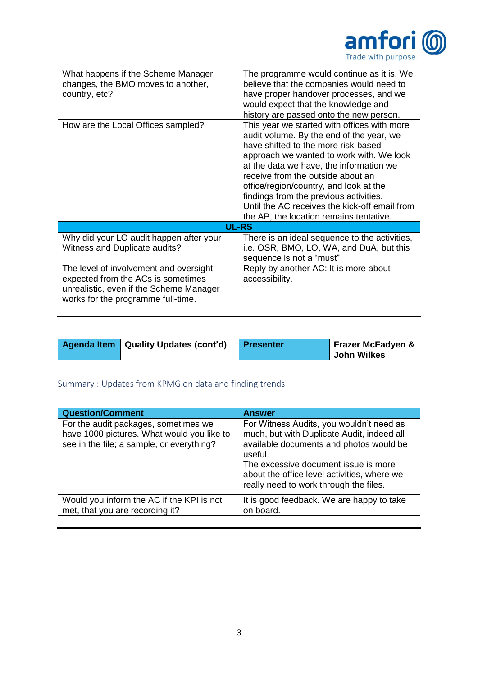

| What happens if the Scheme Manager<br>changes, the BMO moves to another,<br>country, etc?<br>How are the Local Offices sampled?                               | The programme would continue as it is. We<br>believe that the companies would need to<br>have proper handover processes, and we<br>would expect that the knowledge and<br>history are passed onto the new person.<br>This year we started with offices with more<br>audit volume. By the end of the year, we                                    |
|---------------------------------------------------------------------------------------------------------------------------------------------------------------|-------------------------------------------------------------------------------------------------------------------------------------------------------------------------------------------------------------------------------------------------------------------------------------------------------------------------------------------------|
|                                                                                                                                                               | have shifted to the more risk-based<br>approach we wanted to work with. We look<br>at the data we have, the information we<br>receive from the outside about an<br>office/region/country, and look at the<br>findings from the previous activities.<br>Until the AC receives the kick-off email from<br>the AP, the location remains tentative. |
|                                                                                                                                                               | <b>UL-RS</b>                                                                                                                                                                                                                                                                                                                                    |
| Why did your LO audit happen after your<br>Witness and Duplicate audits?                                                                                      | There is an ideal sequence to the activities,<br>i.e. OSR, BMO, LO, WA, and DuA, but this<br>sequence is not a "must".                                                                                                                                                                                                                          |
| The level of involvement and oversight<br>expected from the ACs is sometimes<br>unrealistic, even if the Scheme Manager<br>works for the programme full-time. | Reply by another AC: It is more about<br>accessibility.                                                                                                                                                                                                                                                                                         |

| Agenda Item   Quality Updates (cont'd) | Presenter | <b>Frazer McFadyen &amp;</b><br>John Wilkes |
|----------------------------------------|-----------|---------------------------------------------|
|----------------------------------------|-----------|---------------------------------------------|

## Summary : Updates from KPMG on data and finding trends

| <b>Question/Comment</b>                                                                                                         | <b>Answer</b>                                                                                                                                                                                                                                                                 |
|---------------------------------------------------------------------------------------------------------------------------------|-------------------------------------------------------------------------------------------------------------------------------------------------------------------------------------------------------------------------------------------------------------------------------|
| For the audit packages, sometimes we<br>have 1000 pictures. What would you like to<br>see in the file; a sample, or everything? | For Witness Audits, you wouldn't need as<br>much, but with Duplicate Audit, indeed all<br>available documents and photos would be<br>useful.<br>The excessive document issue is more<br>about the office level activities, where we<br>really need to work through the files. |
| Would you inform the AC if the KPI is not<br>met, that you are recording it?                                                    | It is good feedback. We are happy to take<br>on board.                                                                                                                                                                                                                        |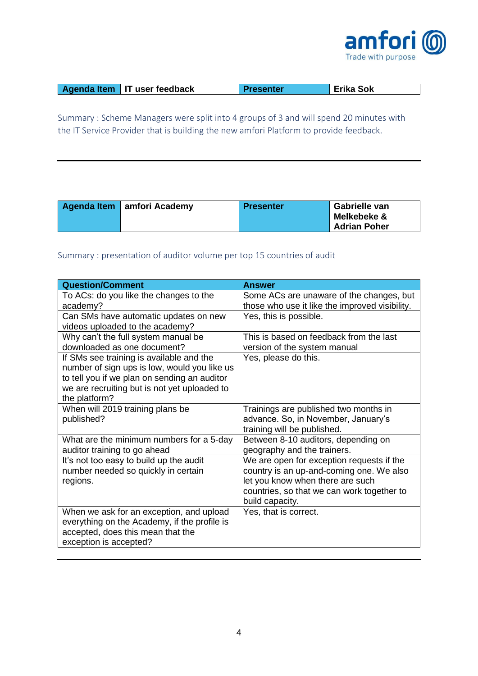

| Agenda Item   IT user feedback | <b>Presenter</b> | <b>Erika Sok</b> |
|--------------------------------|------------------|------------------|

Summary : Scheme Managers were split into 4 groups of 3 and will spend 20 minutes with the IT Service Provider that is building the new amfori Platform to provide feedback.

| Agenda Item   amfori Academy | <b>Presenter</b> | Gabrielle van<br>Melkebeke &<br><b>Adrian Poher</b> |
|------------------------------|------------------|-----------------------------------------------------|
|------------------------------|------------------|-----------------------------------------------------|

## Summary : presentation of auditor volume per top 15 countries of audit

| <b>Question/Comment</b>                      | <b>Answer</b>                                  |
|----------------------------------------------|------------------------------------------------|
| To ACs: do you like the changes to the       | Some ACs are unaware of the changes, but       |
| academy?                                     | those who use it like the improved visibility. |
| Can SMs have automatic updates on new        | Yes, this is possible.                         |
| videos uploaded to the academy?              |                                                |
| Why can't the full system manual be          | This is based on feedback from the last        |
| downloaded as one document?                  | version of the system manual                   |
| If SMs see training is available and the     | Yes, please do this.                           |
| number of sign ups is low, would you like us |                                                |
| to tell you if we plan on sending an auditor |                                                |
| we are recruiting but is not yet uploaded to |                                                |
| the platform?                                |                                                |
| When will 2019 training plans be             | Trainings are published two months in          |
| published?                                   | advance. So, in November, January's            |
|                                              | training will be published.                    |
| What are the minimum numbers for a 5-day     | Between 8-10 auditors, depending on            |
| auditor training to go ahead                 | geography and the trainers.                    |
| It's not too easy to build up the audit      | We are open for exception requests if the      |
| number needed so quickly in certain          | country is an up-and-coming one. We also       |
| regions.                                     | let you know when there are such               |
|                                              | countries, so that we can work together to     |
|                                              | build capacity.                                |
| When we ask for an exception, and upload     | Yes, that is correct.                          |
| everything on the Academy, if the profile is |                                                |
| accepted, does this mean that the            |                                                |
| exception is accepted?                       |                                                |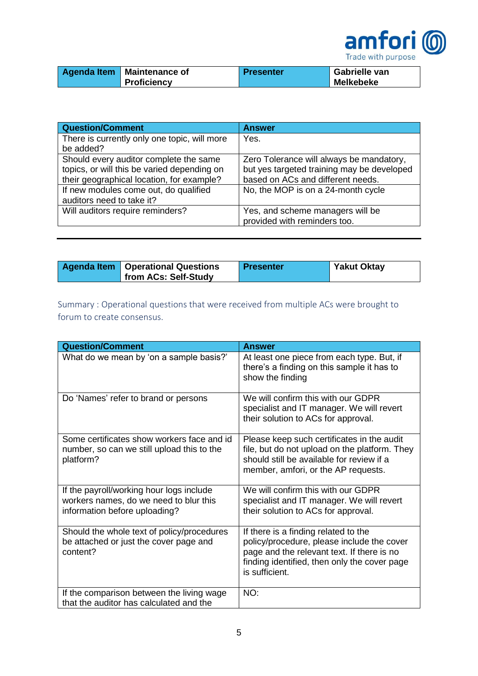

| Agenda Item   Maintenance of | <b>Presenter</b> | Gabrielle van    |
|------------------------------|------------------|------------------|
| Proficiency                  |                  | <b>Melkebeke</b> |

| <b>Question/Comment</b>                      | <b>Answer</b>                              |
|----------------------------------------------|--------------------------------------------|
| There is currently only one topic, will more | Yes.                                       |
| be added?                                    |                                            |
| Should every auditor complete the same       | Zero Tolerance will always be mandatory,   |
| topics, or will this be varied depending on  | but yes targeted training may be developed |
| their geographical location, for example?    | based on ACs and different needs.          |
| If new modules come out, do qualified        | No, the MOP is on a 24-month cycle         |
| auditors need to take it?                    |                                            |
| Will auditors require reminders?             | Yes, and scheme managers will be           |
|                                              | provided with reminders too.               |

| <b>Agenda Item   Operational Questions</b> | <b>Presenter</b> | <b>Yakut Oktay</b> |
|--------------------------------------------|------------------|--------------------|
| from ACs: Self-Study                       |                  |                    |

Summary : Operational questions that were received from multiple ACs were brought to forum to create consensus.

| <b>Question/Comment</b>                                                                                             | <b>Answer</b>                                                                                                                                                                                      |
|---------------------------------------------------------------------------------------------------------------------|----------------------------------------------------------------------------------------------------------------------------------------------------------------------------------------------------|
| What do we mean by 'on a sample basis?'                                                                             | At least one piece from each type. But, if<br>there's a finding on this sample it has to<br>show the finding                                                                                       |
| Do 'Names' refer to brand or persons                                                                                | We will confirm this with our GDPR<br>specialist and IT manager. We will revert<br>their solution to ACs for approval.                                                                             |
| Some certificates show workers face and id<br>number, so can we still upload this to the<br>platform?               | Please keep such certificates in the audit<br>file, but do not upload on the platform. They<br>should still be available for review if a<br>member, amfori, or the AP requests.                    |
| If the payroll/working hour logs include<br>workers names, do we need to blur this<br>information before uploading? | We will confirm this with our GDPR<br>specialist and IT manager. We will revert<br>their solution to ACs for approval.                                                                             |
| Should the whole text of policy/procedures<br>be attached or just the cover page and<br>content?                    | If there is a finding related to the<br>policy/procedure, please include the cover<br>page and the relevant text. If there is no<br>finding identified, then only the cover page<br>is sufficient. |
| If the comparison between the living wage<br>that the auditor has calculated and the                                | NO:                                                                                                                                                                                                |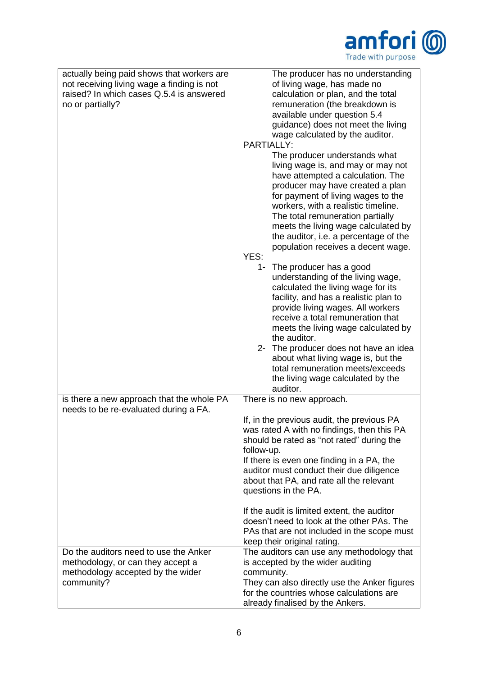

| actually being paid shows that workers are<br>not receiving living wage a finding is not<br>raised? In which cases Q.5.4 is answered<br>no or partially? | The producer has no understanding<br>of living wage, has made no<br>calculation or plan, and the total<br>remuneration (the breakdown is<br>available under question 5.4<br>guidance) does not meet the living<br>wage calculated by the auditor.<br>PARTIALLY:<br>The producer understands what<br>living wage is, and may or may not<br>have attempted a calculation. The<br>producer may have created a plan<br>for payment of living wages to the<br>workers, with a realistic timeline.<br>The total remuneration partially<br>meets the living wage calculated by<br>the auditor, i.e. a percentage of the<br>population receives a decent wage.<br>YES:<br>The producer has a good<br>1-<br>understanding of the living wage,<br>calculated the living wage for its<br>facility, and has a realistic plan to<br>provide living wages. All workers<br>receive a total remuneration that<br>meets the living wage calculated by<br>the auditor.<br>2- The producer does not have an idea<br>about what living wage is, but the<br>total remuneration meets/exceeds<br>the living wage calculated by the<br>auditor. |
|----------------------------------------------------------------------------------------------------------------------------------------------------------|--------------------------------------------------------------------------------------------------------------------------------------------------------------------------------------------------------------------------------------------------------------------------------------------------------------------------------------------------------------------------------------------------------------------------------------------------------------------------------------------------------------------------------------------------------------------------------------------------------------------------------------------------------------------------------------------------------------------------------------------------------------------------------------------------------------------------------------------------------------------------------------------------------------------------------------------------------------------------------------------------------------------------------------------------------------------------------------------------------------------------|
| is there a new approach that the whole PA                                                                                                                | There is no new approach.                                                                                                                                                                                                                                                                                                                                                                                                                                                                                                                                                                                                                                                                                                                                                                                                                                                                                                                                                                                                                                                                                                |
| needs to be re-evaluated during a FA.                                                                                                                    | If, in the previous audit, the previous PA<br>was rated A with no findings, then this PA<br>should be rated as "not rated" during the<br>follow-up.<br>If there is even one finding in a PA, the<br>auditor must conduct their due diligence<br>about that PA, and rate all the relevant<br>questions in the PA.<br>If the audit is limited extent, the auditor<br>doesn't need to look at the other PAs. The                                                                                                                                                                                                                                                                                                                                                                                                                                                                                                                                                                                                                                                                                                            |
|                                                                                                                                                          | PAs that are not included in the scope must<br>keep their original rating.                                                                                                                                                                                                                                                                                                                                                                                                                                                                                                                                                                                                                                                                                                                                                                                                                                                                                                                                                                                                                                               |
| Do the auditors need to use the Anker<br>methodology, or can they accept a                                                                               | The auditors can use any methodology that<br>is accepted by the wider auditing                                                                                                                                                                                                                                                                                                                                                                                                                                                                                                                                                                                                                                                                                                                                                                                                                                                                                                                                                                                                                                           |
| methodology accepted by the wider<br>community?                                                                                                          | community.<br>They can also directly use the Anker figures<br>for the countries whose calculations are<br>already finalised by the Ankers.                                                                                                                                                                                                                                                                                                                                                                                                                                                                                                                                                                                                                                                                                                                                                                                                                                                                                                                                                                               |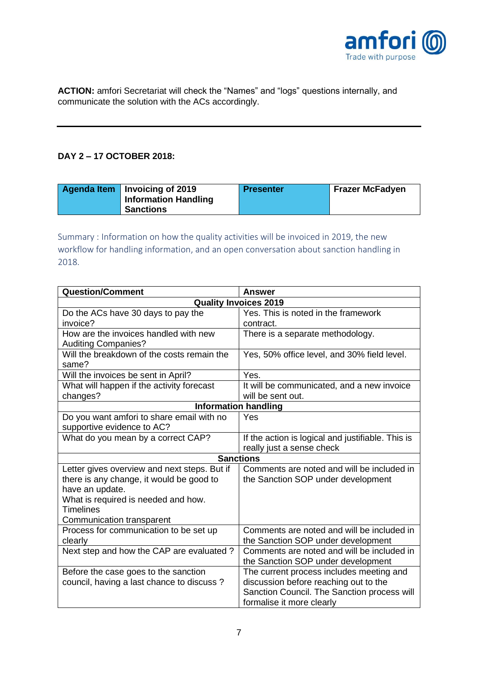

**ACTION:** amfori Secretariat will check the "Names" and "logs" questions internally, and communicate the solution with the ACs accordingly.

### **DAY 2 – 17 OCTOBER 2018:**

| Agenda Item   Invoicing of 2019 | <b>Presenter</b> | <b>Frazer McFadyen</b> |
|---------------------------------|------------------|------------------------|
| <b>Information Handling</b>     |                  |                        |
| Sanctions                       |                  |                        |

Summary : Information on how the quality activities will be invoiced in 2019, the new workflow for handling information, and an open conversation about sanction handling in 2018.

| <b>Question/Comment</b>                      | <b>Answer</b>                                     |  |
|----------------------------------------------|---------------------------------------------------|--|
| <b>Quality Invoices 2019</b>                 |                                                   |  |
| Do the ACs have 30 days to pay the           | Yes. This is noted in the framework               |  |
| invoice?                                     | contract.                                         |  |
| How are the invoices handled with new        | There is a separate methodology.                  |  |
| <b>Auditing Companies?</b>                   |                                                   |  |
| Will the breakdown of the costs remain the   | Yes, 50% office level, and 30% field level.       |  |
| same?                                        |                                                   |  |
| Will the invoices be sent in April?          | Yes.                                              |  |
| What will happen if the activity forecast    | It will be communicated, and a new invoice        |  |
| changes?                                     | will be sent out.                                 |  |
|                                              | <b>Information handling</b>                       |  |
| Do you want amfori to share email with no    | Yes                                               |  |
| supportive evidence to AC?                   |                                                   |  |
| What do you mean by a correct CAP?           | If the action is logical and justifiable. This is |  |
|                                              | really just a sense check                         |  |
| <b>Sanctions</b>                             |                                                   |  |
| Letter gives overview and next steps. But if | Comments are noted and will be included in        |  |
| there is any change, it would be good to     | the Sanction SOP under development                |  |
| have an update.                              |                                                   |  |
| What is required is needed and how.          |                                                   |  |
| <b>Timelines</b>                             |                                                   |  |
| Communication transparent                    |                                                   |  |
| Process for communication to be set up       | Comments are noted and will be included in        |  |
| clearly                                      | the Sanction SOP under development                |  |
| Next step and how the CAP are evaluated?     | Comments are noted and will be included in        |  |
|                                              | the Sanction SOP under development                |  |
| Before the case goes to the sanction         | The current process includes meeting and          |  |
| council, having a last chance to discuss?    | discussion before reaching out to the             |  |
|                                              | Sanction Council. The Sanction process will       |  |
|                                              | formalise it more clearly                         |  |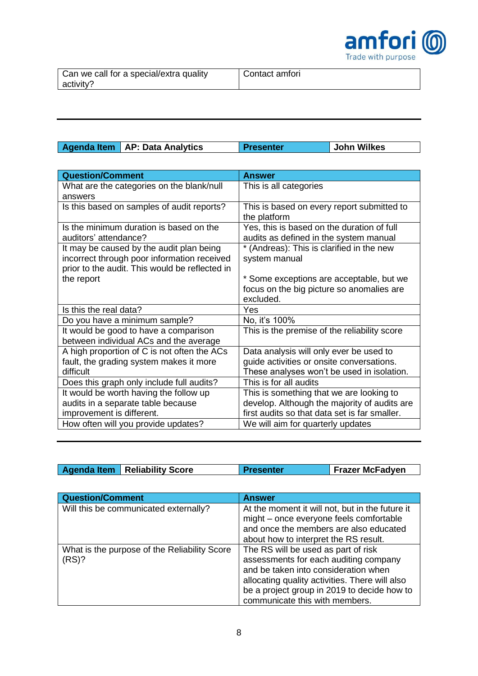

| Agenda Item   AP: Data Analytics | <b>Presenter</b> | <b>John Wilkes</b> |
|----------------------------------|------------------|--------------------|
|                                  |                  |                    |

| <b>Question/Comment</b>                        | <b>Answer</b>                                 |
|------------------------------------------------|-----------------------------------------------|
| What are the categories on the blank/null      | This is all categories                        |
| answers                                        |                                               |
| Is this based on samples of audit reports?     | This is based on every report submitted to    |
|                                                | the platform                                  |
| Is the minimum duration is based on the        | Yes, this is based on the duration of full    |
| auditors' attendance?                          | audits as defined in the system manual        |
| It may be caused by the audit plan being       | * (Andreas): This is clarified in the new     |
| incorrect through poor information received    | system manual                                 |
| prior to the audit. This would be reflected in |                                               |
| the report                                     | * Some exceptions are acceptable, but we      |
|                                                | focus on the big picture so anomalies are     |
|                                                | excluded.                                     |
| Is this the real data?                         | Yes                                           |
| Do you have a minimum sample?                  | No, it's 100%                                 |
| It would be good to have a comparison          | This is the premise of the reliability score  |
| between individual ACs and the average         |                                               |
| A high proportion of C is not often the ACs    | Data analysis will only ever be used to       |
| fault, the grading system makes it more        | guide activities or onsite conversations.     |
| difficult                                      | These analyses won't be used in isolation.    |
| Does this graph only include full audits?      | This is for all audits                        |
| It would be worth having the follow up         | This is something that we are looking to      |
| audits in a separate table because             | develop. Although the majority of audits are  |
| improvement is different.                      | first audits so that data set is far smaller. |
| How often will you provide updates?            | We will aim for quarterly updates             |

| Agenda Item   Reliability Score | <b>Presenter</b> | <b>Frazer McFadyen</b> |
|---------------------------------|------------------|------------------------|

| <b>Question/Comment</b>                               | <b>Answer</b>                                                                                                                                                                                                                                           |
|-------------------------------------------------------|---------------------------------------------------------------------------------------------------------------------------------------------------------------------------------------------------------------------------------------------------------|
| Will this be communicated externally?                 | At the moment it will not, but in the future it<br>might - once everyone feels comfortable<br>and once the members are also educated<br>about how to interpret the RS result.                                                                           |
| What is the purpose of the Reliability Score<br>(RS)? | The RS will be used as part of risk<br>assessments for each auditing company<br>and be taken into consideration when<br>allocating quality activities. There will also<br>be a project group in 2019 to decide how to<br>communicate this with members. |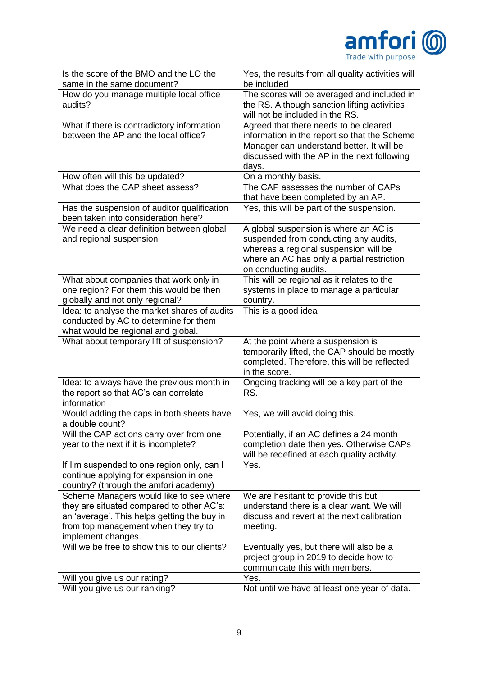

| Is the score of the BMO and the LO the<br>same in the same document?                                                                                                                              | Yes, the results from all quality activities will<br>be included                                                                                                                               |
|---------------------------------------------------------------------------------------------------------------------------------------------------------------------------------------------------|------------------------------------------------------------------------------------------------------------------------------------------------------------------------------------------------|
| How do you manage multiple local office<br>audits?                                                                                                                                                | The scores will be averaged and included in<br>the RS. Although sanction lifting activities<br>will not be included in the RS.                                                                 |
| What if there is contradictory information<br>between the AP and the local office?                                                                                                                | Agreed that there needs to be cleared<br>information in the report so that the Scheme<br>Manager can understand better. It will be<br>discussed with the AP in the next following<br>days.     |
| How often will this be updated?                                                                                                                                                                   | On a monthly basis.                                                                                                                                                                            |
| What does the CAP sheet assess?                                                                                                                                                                   | The CAP assesses the number of CAPs<br>that have been completed by an AP.                                                                                                                      |
| Has the suspension of auditor qualification<br>been taken into consideration here?                                                                                                                | Yes, this will be part of the suspension.                                                                                                                                                      |
| We need a clear definition between global<br>and regional suspension                                                                                                                              | A global suspension is where an AC is<br>suspended from conducting any audits,<br>whereas a regional suspension will be<br>where an AC has only a partial restriction<br>on conducting audits. |
| What about companies that work only in<br>one region? For them this would be then<br>globally and not only regional?                                                                              | This will be regional as it relates to the<br>systems in place to manage a particular<br>country.                                                                                              |
| Idea: to analyse the market shares of audits<br>conducted by AC to determine for them<br>what would be regional and global.                                                                       | This is a good idea                                                                                                                                                                            |
| What about temporary lift of suspension?                                                                                                                                                          | At the point where a suspension is<br>temporarily lifted, the CAP should be mostly<br>completed. Therefore, this will be reflected<br>in the score.                                            |
| Idea: to always have the previous month in<br>the report so that AC's can correlate<br>information                                                                                                | Ongoing tracking will be a key part of the<br>RS.                                                                                                                                              |
| Would adding the caps in both sheets have<br>a double count?                                                                                                                                      | Yes, we will avoid doing this.                                                                                                                                                                 |
| Will the CAP actions carry over from one<br>year to the next if it is incomplete?                                                                                                                 | Potentially, if an AC defines a 24 month<br>completion date then yes. Otherwise CAPs<br>will be redefined at each quality activity.                                                            |
| If I'm suspended to one region only, can I<br>continue applying for expansion in one<br>country? (through the amfori academy)                                                                     | Yes.                                                                                                                                                                                           |
| Scheme Managers would like to see where<br>they are situated compared to other AC's:<br>an 'average'. This helps getting the buy in<br>from top management when they try to<br>implement changes. | We are hesitant to provide this but<br>understand there is a clear want. We will<br>discuss and revert at the next calibration<br>meeting.                                                     |
| Will we be free to show this to our clients?                                                                                                                                                      | Eventually yes, but there will also be a<br>project group in 2019 to decide how to<br>communicate this with members.                                                                           |
| Will you give us our rating?                                                                                                                                                                      | Yes.                                                                                                                                                                                           |
| Will you give us our ranking?                                                                                                                                                                     | Not until we have at least one year of data.                                                                                                                                                   |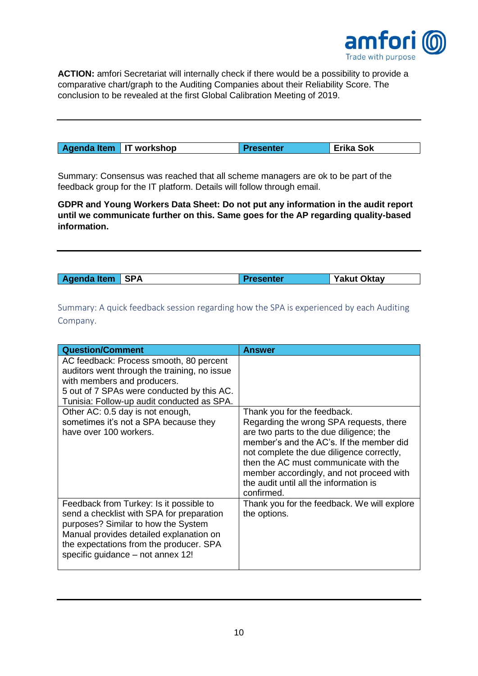

**ACTION:** amfori Secretariat will internally check if there would be a possibility to provide a comparative chart/graph to the Auditing Companies about their Reliability Score. The conclusion to be revealed at the first Global Calibration Meeting of 2019.

| Agenda Item   IT workshop | <b>Presenter</b> | ` Erika Sok |
|---------------------------|------------------|-------------|
|---------------------------|------------------|-------------|

Summary: Consensus was reached that all scheme managers are ok to be part of the feedback group for the IT platform. Details will follow through email.

**GDPR and Young Workers Data Sheet: Do not put any information in the audit report until we communicate further on this. Same goes for the AP regarding quality-based information.** 

| Agenda Item   SPA<br><b>Yakut Oktay</b><br>Presenter |
|------------------------------------------------------|
|------------------------------------------------------|

Summary: A quick feedback session regarding how the SPA is experienced by each Auditing Company.

| <b>Question/Comment</b>                                                                                                                                                                                                                                | <b>Answer</b>                                                                                                                                                                                                                                                                                                                                           |
|--------------------------------------------------------------------------------------------------------------------------------------------------------------------------------------------------------------------------------------------------------|---------------------------------------------------------------------------------------------------------------------------------------------------------------------------------------------------------------------------------------------------------------------------------------------------------------------------------------------------------|
| AC feedback: Process smooth, 80 percent<br>auditors went through the training, no issue<br>with members and producers.<br>5 out of 7 SPAs were conducted by this AC.<br>Tunisia: Follow-up audit conducted as SPA.                                     |                                                                                                                                                                                                                                                                                                                                                         |
| Other AC: 0.5 day is not enough,<br>sometimes it's not a SPA because they<br>have over 100 workers.                                                                                                                                                    | Thank you for the feedback.<br>Regarding the wrong SPA requests, there<br>are two parts to the due diligence; the<br>member's and the AC's. If the member did<br>not complete the due diligence correctly,<br>then the AC must communicate with the<br>member accordingly, and not proceed with<br>the audit until all the information is<br>confirmed. |
| Feedback from Turkey: Is it possible to<br>send a checklist with SPA for preparation<br>purposes? Similar to how the System<br>Manual provides detailed explanation on<br>the expectations from the producer. SPA<br>specific guidance – not annex 12! | Thank you for the feedback. We will explore<br>the options.                                                                                                                                                                                                                                                                                             |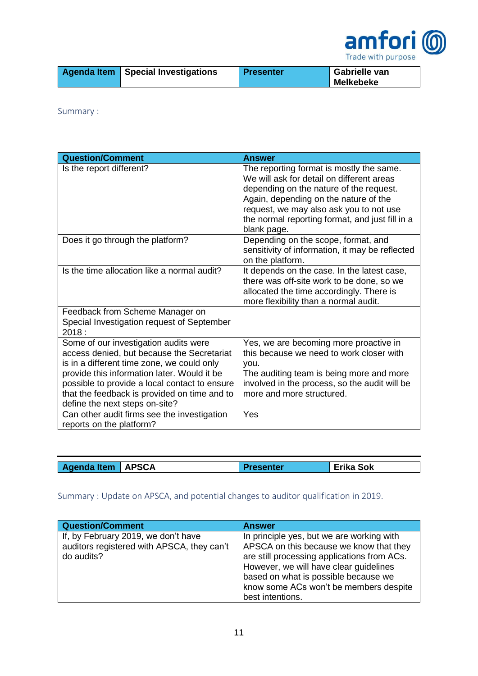

|  | <b>Agenda Item   Special Investigations</b> | Presenter | Gabrielle van<br><b>Melkebeke</b> |
|--|---------------------------------------------|-----------|-----------------------------------|
|--|---------------------------------------------|-----------|-----------------------------------|

Summary :

| <b>Question/Comment</b>                                                                                                                                                                                                                                                                                                                                            | <b>Answer</b>                                                                                                                                                                                                                                                                          |
|--------------------------------------------------------------------------------------------------------------------------------------------------------------------------------------------------------------------------------------------------------------------------------------------------------------------------------------------------------------------|----------------------------------------------------------------------------------------------------------------------------------------------------------------------------------------------------------------------------------------------------------------------------------------|
| Is the report different?                                                                                                                                                                                                                                                                                                                                           | The reporting format is mostly the same.<br>We will ask for detail on different areas<br>depending on the nature of the request.<br>Again, depending on the nature of the<br>request, we may also ask you to not use<br>the normal reporting format, and just fill in a<br>blank page. |
| Does it go through the platform?                                                                                                                                                                                                                                                                                                                                   | Depending on the scope, format, and<br>sensitivity of information, it may be reflected<br>on the platform.                                                                                                                                                                             |
| Is the time allocation like a normal audit?                                                                                                                                                                                                                                                                                                                        | It depends on the case. In the latest case,<br>there was off-site work to be done, so we<br>allocated the time accordingly. There is<br>more flexibility than a normal audit.                                                                                                          |
| Feedback from Scheme Manager on<br>Special Investigation request of September<br>2018:                                                                                                                                                                                                                                                                             |                                                                                                                                                                                                                                                                                        |
| Some of our investigation audits were<br>access denied, but because the Secretariat<br>is in a different time zone, we could only<br>provide this information later. Would it be<br>possible to provide a local contact to ensure<br>that the feedback is provided on time and to<br>define the next steps on-site?<br>Can other audit firms see the investigation | Yes, we are becoming more proactive in<br>this because we need to work closer with<br>you.<br>The auditing team is being more and more<br>involved in the process, so the audit will be<br>more and more structured.<br>Yes                                                            |
| reports on the platform?                                                                                                                                                                                                                                                                                                                                           |                                                                                                                                                                                                                                                                                        |

| Agenda Item   APSCA | <b>Presenter</b> | <b>Erika Sok</b> |
|---------------------|------------------|------------------|

## Summary : Update on APSCA, and potential changes to auditor qualification in 2019.

| <b>Question/Comment</b>                                                                         | <b>Answer</b>                                                                                                                                                                                                                                                                       |
|-------------------------------------------------------------------------------------------------|-------------------------------------------------------------------------------------------------------------------------------------------------------------------------------------------------------------------------------------------------------------------------------------|
| If, by February 2019, we don't have<br>auditors registered with APSCA, they can't<br>do audits? | In principle yes, but we are working with<br>APSCA on this because we know that they<br>are still processing applications from ACs.<br>However, we will have clear guidelines<br>based on what is possible because we<br>know some ACs won't be members despite<br>best intentions. |